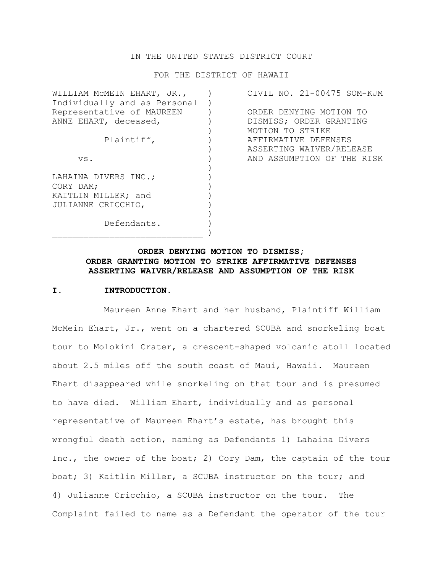### IN THE UNITED STATES DISTRICT COURT

FOR THE DISTRICT OF HAWAII

| WILLIAM MCMEIN EHART, JR.,   | CIVIL NO. 21-00475 SOM-KJM |
|------------------------------|----------------------------|
| Individually and as Personal |                            |
| Representative of MAUREEN    | ORDER DENYING MOTION TO    |
| ANNE EHART, deceased,        | DISMISS; ORDER GRANTING    |
|                              | MOTION TO STRIKE           |
| Plaintiff,                   | AFFIRMATIVE DEFENSES       |
|                              | ASSERTING WAIVER/RELEASE   |
| VS.                          | AND ASSUMPTION OF THE RISK |
|                              |                            |
| LAHAINA DIVERS INC.;         |                            |
| CORY DAM:                    |                            |
| KAITLIN MILLER; and          |                            |
| JULIANNE CRICCHIO,           |                            |
|                              |                            |
| Defendants.                  |                            |
|                              |                            |

# **ORDER DENYING MOTION TO DISMISS; ORDER GRANTING MOTION TO STRIKE AFFIRMATIVE DEFENSES ASSERTING WAIVER/RELEASE AND ASSUMPTION OF THE RISK**

### **I. INTRODUCTION.**

Maureen Anne Ehart and her husband, Plaintiff William McMein Ehart, Jr., went on a chartered SCUBA and snorkeling boat tour to Molokini Crater, a crescent-shaped volcanic atoll located about 2.5 miles off the south coast of Maui, Hawaii. Maureen Ehart disappeared while snorkeling on that tour and is presumed to have died. William Ehart, individually and as personal representative of Maureen Ehart's estate, has brought this wrongful death action, naming as Defendants 1) Lahaina Divers Inc., the owner of the boat; 2) Cory Dam, the captain of the tour boat; 3) Kaitlin Miller, a SCUBA instructor on the tour; and 4) Julianne Cricchio, a SCUBA instructor on the tour. The Complaint failed to name as a Defendant the operator of the tour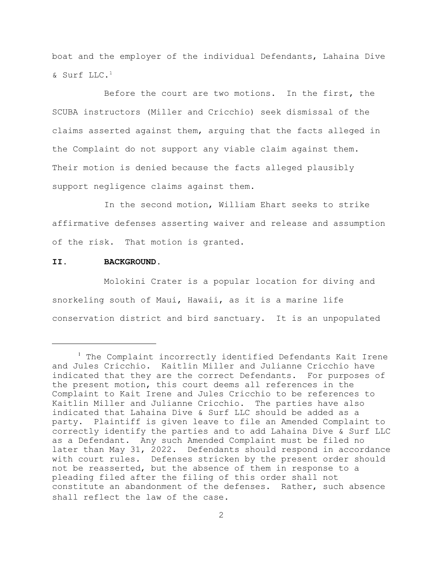boat and the employer of the individual Defendants, Lahaina Dive  $\&$  Surf LLC.<sup>1</sup>

Before the court are two motions. In the first, the SCUBA instructors (Miller and Cricchio) seek dismissal of the claims asserted against them, arguing that the facts alleged in the Complaint do not support any viable claim against them. Their motion is denied because the facts alleged plausibly support negligence claims against them.

In the second motion, William Ehart seeks to strike affirmative defenses asserting waiver and release and assumption of the risk. That motion is granted.

### **II. BACKGROUND.**

Molokini Crater is a popular location for diving and snorkeling south of Maui, Hawaii, as it is a marine life conservation district and bird sanctuary. It is an unpopulated

<sup>&</sup>lt;sup>1</sup> The Complaint incorrectly identified Defendants Kait Irene and Jules Cricchio. Kaitlin Miller and Julianne Cricchio have indicated that they are the correct Defendants. For purposes of the present motion, this court deems all references in the Complaint to Kait Irene and Jules Cricchio to be references to Kaitlin Miller and Julianne Cricchio. The parties have also indicated that Lahaina Dive & Surf LLC should be added as a party. Plaintiff is given leave to file an Amended Complaint to correctly identify the parties and to add Lahaina Dive & Surf LLC as a Defendant. Any such Amended Complaint must be filed no later than May 31, 2022. Defendants should respond in accordance with court rules. Defenses stricken by the present order should not be reasserted, but the absence of them in response to a pleading filed after the filing of this order shall not constitute an abandonment of the defenses. Rather, such absence shall reflect the law of the case.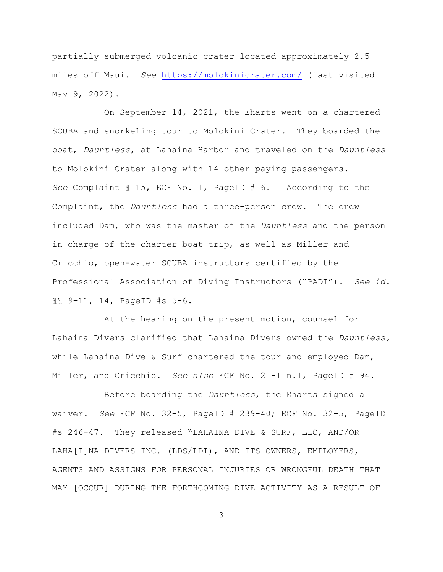partially submerged volcanic crater located approximately 2.5 miles off Maui. *See* <https://molokinicrater.com/> (last visited May 9, 2022).

On September 14, 2021, the Eharts went on a chartered SCUBA and snorkeling tour to Molokini Crater. They boarded the boat, *Dauntless*, at Lahaina Harbor and traveled on the *Dauntless* to Molokini Crater along with 14 other paying passengers. *See* Complaint ¶ 15, ECF No. 1, PageID # 6. According to the Complaint, the *Dauntless* had a three-person crew. The crew included Dam, who was the master of the *Dauntless* and the person in charge of the charter boat trip, as well as Miller and Cricchio, open-water SCUBA instructors certified by the Professional Association of Diving Instructors ("PADI"). *See id.* ¶¶ 9-11, 14, PageID #s 5-6.

At the hearing on the present motion, counsel for Lahaina Divers clarified that Lahaina Divers owned the *Dauntless,* while Lahaina Dive & Surf chartered the tour and employed Dam, Miller, and Cricchio. *See also* ECF No. 21-1 n.1, PageID # 94.

Before boarding the *Dauntless*, the Eharts signed a waiver. *See* ECF No. 32-5, PageID # 239-40; ECF No. 32-5, PageID #s 246-47. They released "LAHAINA DIVE & SURF, LLC, AND/OR LAHA[I]NA DIVERS INC. (LDS/LDI), AND ITS OWNERS, EMPLOYERS, AGENTS AND ASSIGNS FOR PERSONAL INJURIES OR WRONGFUL DEATH THAT MAY [OCCUR] DURING THE FORTHCOMING DIVE ACTIVITY AS A RESULT OF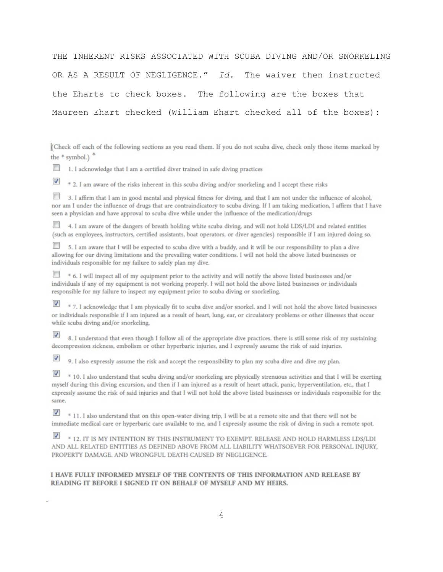THE INHERENT RISKS ASSOCIATED WITH SCUBA DIVING AND/OR SNORKELING OR AS A RESULT OF NEGLIGENCE." *Id.* The waiver then instructed the Eharts to check boxes. The following are the boxes that Maureen Ehart checked (William Ehart checked all of the boxes):

(Check off each of the following sections as you read them. If you do not scuba dive, check only those items marked by the  $*$  symbol.)  $*$ 

1. I acknowledge that I am a certified diver trained in safe diving practices  $\mathbb{R}^n$ 

 $\boldsymbol{J}$ \* 2. I am aware of the risks inherent in this scuba diving and/or snorkeling and I accept these risks

 $\overline{\phantom{a}}$ 3. I affirm that I am in good mental and physical fitness for diving, and that I am not under the influence of alcohol, nor am I under the influence of drugs that are contraindicatory to scuba diving. If I am taking medication, I affirm that I have seen a physician and have approval to scuba dive while under the influence of the medication/drugs

4. I am aware of the dangers of breath holding white scuba diving, and will not hold LDS/LDI and related entities (such as employees, instructors, certified assistants, boat operators, or diver agencies) responsible if I am injured doing so.

5. I am aware that I will be expected to scuba dive with a buddy, and it will be our responsibility to plan a dive allowing for our diving limitations and the prevailing water conditions. I will not hold the above listed businesses or individuals responsible for my failure to safely plan my dive.

\* 6. I will inspect all of my equipment prior to the activity and will notify the above listed businesses and/or individuals if any of my equipment is not working properly. I will not hold the above listed businesses or individuals responsible for my failure to inspect my equipment prior to scuba diving or snorkeling.

 $\boldsymbol{v}$ \* 7. I acknowledge that I am physically fit to scuba dive and/or snorkel. and I will not hold the above listed businesses or individuals responsible if I am injured as a result of heart, lung, ear, or circulatory problems or other illnesses that occur while scuba diving and/or snorkeling.

8. I understand that even though I follow all of the appropriate dive practices. there is still some risk of my sustaining decompression sickness, embolism or other hyperbaric injuries, and I expressly assume the risk of said injuries.

J 9. I also expressly assume the risk and accept the responsibility to plan my scuba dive and dive my plan.

 $\mathcal{J}$ \* 10. I also understand that scuba diving and/or snorkeling are physically strenuous activities and that I will be exerting myself during this diving excursion, and then if I am injured as a result of heart attack, panic, hyperventilation, etc., that I expressly assume the risk of said injuries and that I will not hold the above listed businesses or individuals responsible for the same.

\* 11. I also understand that on this open-water diving trip, I will be at a remote site and that there will not be immediate medical care or hyperbaric care available to me, and I expressly assume the risk of diving in such a remote spot.

\* 12. IT IS MY INTENTION BY THIS INSTRUMENT TO EXEMPT. RELEASE AND HOLD HARMLESS LDS/LDI AND ALL RELATED ENTITIES AS DEFINED ABOVE FROM ALL LIABILITY WHATSOEVER FOR PERSONAL INJURY, PROPERTY DAMAGE. AND WRONGFUL DEATH CAUSED BY NEGLIGENCE.

#### I HAVE FULLY INFORMED MYSELF OF THE CONTENTS OF THIS INFORMATION AND RELEASE BY READING IT BEFORE I SIGNED IT ON BEHALF OF MYSELF AND MY HEIRS.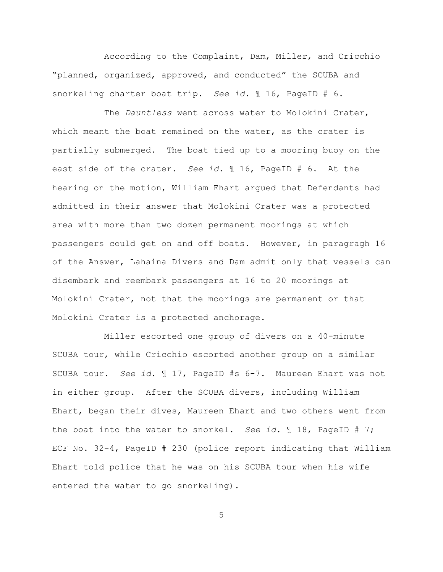According to the Complaint, Dam, Miller, and Cricchio "planned, organized, approved, and conducted" the SCUBA and snorkeling charter boat trip. *See id.* ¶ 16, PageID # 6.

The *Dauntless* went across water to Molokini Crater, which meant the boat remained on the water, as the crater is partially submerged. The boat tied up to a mooring buoy on the east side of the crater. *See id.* ¶ 16, PageID # 6. At the hearing on the motion, William Ehart argued that Defendants had admitted in their answer that Molokini Crater was a protected area with more than two dozen permanent moorings at which passengers could get on and off boats. However, in paragragh 16 of the Answer, Lahaina Divers and Dam admit only that vessels can disembark and reembark passengers at 16 to 20 moorings at Molokini Crater, not that the moorings are permanent or that Molokini Crater is a protected anchorage.

Miller escorted one group of divers on a 40-minute SCUBA tour, while Cricchio escorted another group on a similar SCUBA tour. *See id.* ¶ 17, PageID #s 6-7. Maureen Ehart was not in either group. After the SCUBA divers, including William Ehart, began their dives, Maureen Ehart and two others went from the boat into the water to snorkel. *See id.* ¶ 18, PageID # 7; ECF No. 32-4, PageID # 230 (police report indicating that William Ehart told police that he was on his SCUBA tour when his wife entered the water to go snorkeling).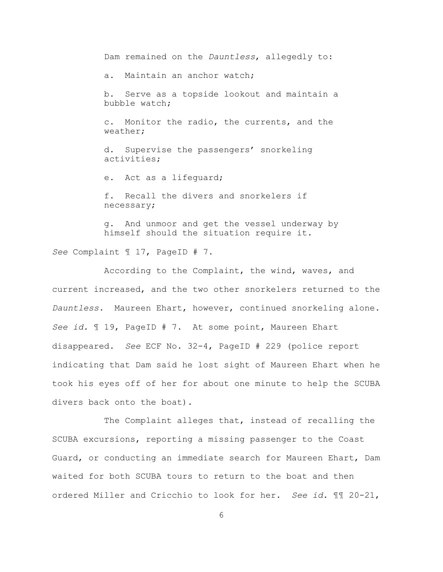Dam remained on the *Dauntless*, allegedly to: a. Maintain an anchor watch; b. Serve as a topside lookout and maintain a bubble watch; c. Monitor the radio, the currents, and the weather; d. Supervise the passengers' snorkeling activities; e. Act as a lifeguard; f. Recall the divers and snorkelers if

g. And unmoor and get the vessel underway by himself should the situation require it.

*See* Complaint ¶ 17, PageID # 7.

necessary;

According to the Complaint, the wind, waves, and current increased, and the two other snorkelers returned to the *Dauntless*. Maureen Ehart, however, continued snorkeling alone. *See id.* ¶ 19, PageID # 7. At some point, Maureen Ehart disappeared. *See* ECF No. 32-4, PageID # 229 (police report indicating that Dam said he lost sight of Maureen Ehart when he took his eyes off of her for about one minute to help the SCUBA divers back onto the boat).

The Complaint alleges that, instead of recalling the SCUBA excursions, reporting a missing passenger to the Coast Guard, or conducting an immediate search for Maureen Ehart, Dam waited for both SCUBA tours to return to the boat and then ordered Miller and Cricchio to look for her. *See id.* ¶¶ 20-21,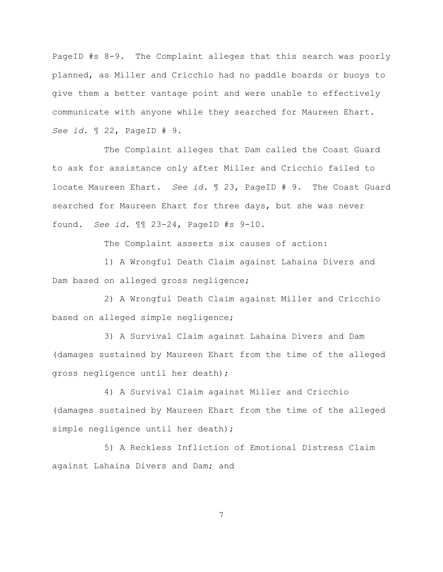PageID #s 8-9. The Complaint alleges that this search was poorly planned, as Miller and Cricchio had no paddle boards or buoys to give them a better vantage point and were unable to effectively communicate with anyone while they searched for Maureen Ehart. *See id.* ¶ 22, PageID # 9.

The Complaint alleges that Dam called the Coast Guard to ask for assistance only after Miller and Cricchio failed to locate Maureen Ehart. *See id.* ¶ 23, PageID # 9. The Coast Guard searched for Maureen Ehart for three days, but she was never found. *See id.* ¶¶ 23-24, PageID #s 9-10.

The Complaint asserts six causes of action:

1) A Wrongful Death Claim against Lahaina Divers and Dam based on alleged gross negligence;

2) A Wrongful Death Claim against Miller and Cricchio based on alleged simple negligence;

3) A Survival Claim against Lahaina Divers and Dam (damages sustained by Maureen Ehart from the time of the alleged gross negligence until her death);

4) A Survival Claim against Miller and Cricchio (damages sustained by Maureen Ehart from the time of the alleged simple negligence until her death);

5) A Reckless Infliction of Emotional Distress Claim against Lahaina Divers and Dam; and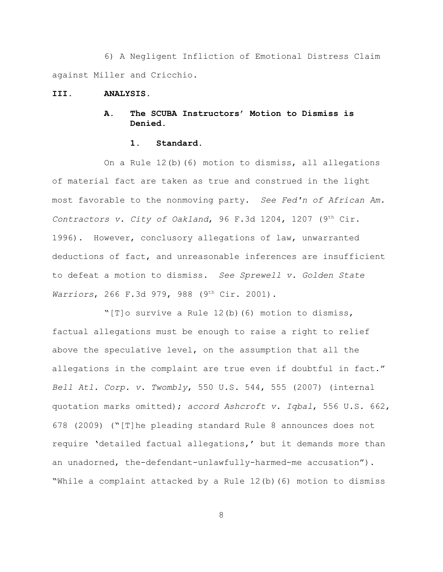6) A Negligent Infliction of Emotional Distress Claim against Miller and Cricchio.

#### **III. ANALYSIS.**

# **A. The SCUBA Instructors' Motion to Dismiss is Denied.**

### **1. Standard.**

On a Rule 12(b)(6) motion to dismiss, all allegations of material fact are taken as true and construed in the light most favorable to the nonmoving party. *See Fed'n of African Am. Contractors v. City of Oakland*, 96 F.3d 1204, 1207 (9<sup>th</sup> Cir. 1996). However, conclusory allegations of law, unwarranted deductions of fact, and unreasonable inferences are insufficient to defeat a motion to dismiss. *See Sprewell v. Golden State Warriors*, 266 F.3d 979, 988 (9<sup>th</sup> Cir. 2001).

"[T]o survive a Rule 12(b)(6) motion to dismiss, factual allegations must be enough to raise a right to relief above the speculative level, on the assumption that all the allegations in the complaint are true even if doubtful in fact." *Bell Atl. Corp. v. Twombly*, 550 U.S. 544, 555 (2007) (internal quotation marks omitted); *accord Ashcroft v. Iqbal*, 556 U.S. 662, 678 (2009) ("[T]he pleading standard Rule 8 announces does not require 'detailed factual allegations,' but it demands more than an unadorned, the-defendant-unlawfully-harmed-me accusation"). "While a complaint attacked by a Rule 12(b)(6) motion to dismiss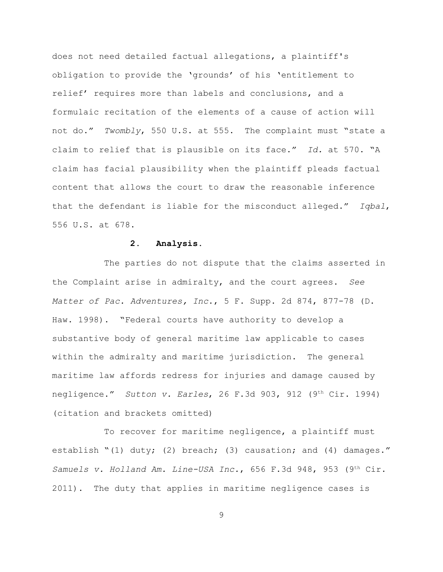does not need detailed factual allegations, a plaintiff's obligation to provide the 'grounds' of his 'entitlement to relief' requires more than labels and conclusions, and a formulaic recitation of the elements of a cause of action will not do." *Twombly*, 550 U.S. at 555. The complaint must "state a claim to relief that is plausible on its face." *Id.* at 570. "A claim has facial plausibility when the plaintiff pleads factual content that allows the court to draw the reasonable inference that the defendant is liable for the misconduct alleged." *Iqbal*, 556 U.S. at 678.

### **2. Analysis.**

The parties do not dispute that the claims asserted in the Complaint arise in admiralty, and the court agrees. *See Matter of Pac. Adventures, Inc*., 5 F. Supp. 2d 874, 877-78 (D. Haw. 1998). "Federal courts have authority to develop a substantive body of general maritime law applicable to cases within the admiralty and maritime jurisdiction. The general maritime law affords redress for injuries and damage caused by negligence." *Sutton v. Earles*, 26 F.3d 903, 912 (9<sup>th</sup> Cir. 1994) (citation and brackets omitted)

To recover for maritime negligence, a plaintiff must establish "(1) duty; (2) breach; (3) causation; and (4) damages." *Samuels v. Holland Am. Line-USA Inc.*, 656 F.3d 948, 953 (9<sup>th</sup> Cir. 2011). The duty that applies in maritime negligence cases is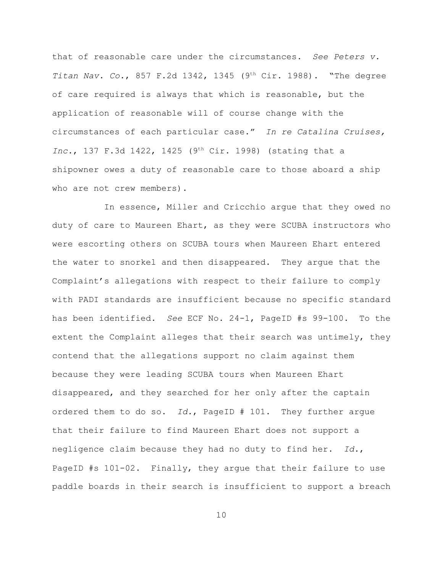that of reasonable care under the circumstances. *See Peters v. Titan Nav. Co.*, 857 F.2d 1342, 1345 (9<sup>th</sup> Cir. 1988). "The degree of care required is always that which is reasonable, but the application of reasonable will of course change with the circumstances of each particular case." *In re Catalina Cruises, Inc.*, 137 F.3d 1422, 1425 (9<sup>th</sup> Cir. 1998) (stating that a shipowner owes a duty of reasonable care to those aboard a ship who are not crew members).

In essence, Miller and Cricchio argue that they owed no duty of care to Maureen Ehart, as they were SCUBA instructors who were escorting others on SCUBA tours when Maureen Ehart entered the water to snorkel and then disappeared. They argue that the Complaint's allegations with respect to their failure to comply with PADI standards are insufficient because no specific standard has been identified. *See* ECF No. 24-1, PageID #s 99-100. To the extent the Complaint alleges that their search was untimely, they contend that the allegations support no claim against them because they were leading SCUBA tours when Maureen Ehart disappeared, and they searched for her only after the captain ordered them to do so. *Id.*, PageID # 101. They further argue that their failure to find Maureen Ehart does not support a negligence claim because they had no duty to find her. *Id.*, PageID #s 101-02. Finally, they argue that their failure to use paddle boards in their search is insufficient to support a breach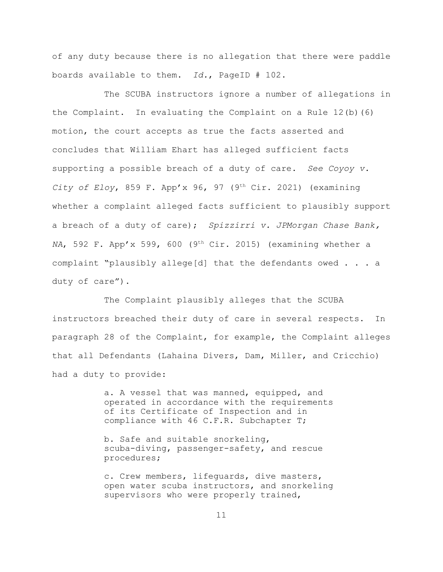of any duty because there is no allegation that there were paddle boards available to them. *Id.*, PageID # 102.

The SCUBA instructors ignore a number of allegations in the Complaint. In evaluating the Complaint on a Rule 12(b)(6) motion, the court accepts as true the facts asserted and concludes that William Ehart has alleged sufficient facts supporting a possible breach of a duty of care. *See Coyoy v. City of Eloy*, 859 F. App'x 96, 97 (9<sup>th</sup> Cir. 2021) (examining whether a complaint alleged facts sufficient to plausibly support a breach of a duty of care); *Spizzirri v. JPMorgan Chase Bank, NA*, 592 F. App'x 599, 600 (9<sup>th</sup> Cir. 2015) (examining whether a complaint "plausibly allege[d] that the defendants owed . . . a duty of care").

The Complaint plausibly alleges that the SCUBA instructors breached their duty of care in several respects. In paragraph 28 of the Complaint, for example, the Complaint alleges that all Defendants (Lahaina Divers, Dam, Miller, and Cricchio) had a duty to provide:

> a. A vessel that was manned, equipped, and operated in accordance with the requirements of its Certificate of Inspection and in compliance with 46 C.F.R. Subchapter T;

b. Safe and suitable snorkeling, scuba-diving, passenger-safety, and rescue procedures;

c. Crew members, lifeguards, dive masters, open water scuba instructors, and snorkeling supervisors who were properly trained,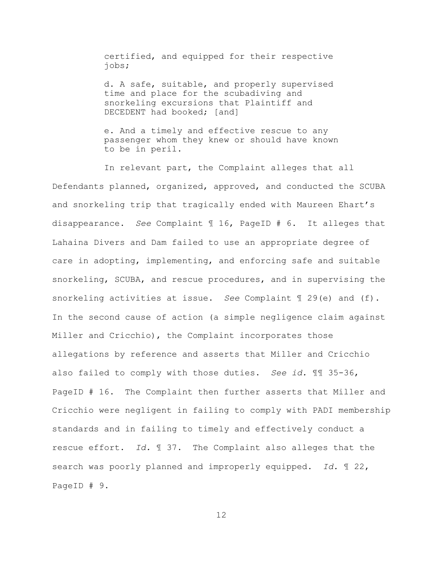certified, and equipped for their respective jobs;

d. A safe, suitable, and properly supervised time and place for the scubadiving and snorkeling excursions that Plaintiff and DECEDENT had booked; [and]

e. And a timely and effective rescue to any passenger whom they knew or should have known to be in peril.

In relevant part, the Complaint alleges that all Defendants planned, organized, approved, and conducted the SCUBA and snorkeling trip that tragically ended with Maureen Ehart's disappearance. *See* Complaint ¶ 16, PageID # 6. It alleges that Lahaina Divers and Dam failed to use an appropriate degree of care in adopting, implementing, and enforcing safe and suitable snorkeling, SCUBA, and rescue procedures, and in supervising the snorkeling activities at issue. *See* Complaint ¶ 29(e) and (f). In the second cause of action (a simple negligence claim against Miller and Cricchio), the Complaint incorporates those allegations by reference and asserts that Miller and Cricchio also failed to comply with those duties. *See id.* ¶¶ 35-36, PageID # 16. The Complaint then further asserts that Miller and Cricchio were negligent in failing to comply with PADI membership standards and in failing to timely and effectively conduct a rescue effort. *Id.* ¶ 37. The Complaint also alleges that the search was poorly planned and improperly equipped. *Id.* ¶ 22, PageID # 9.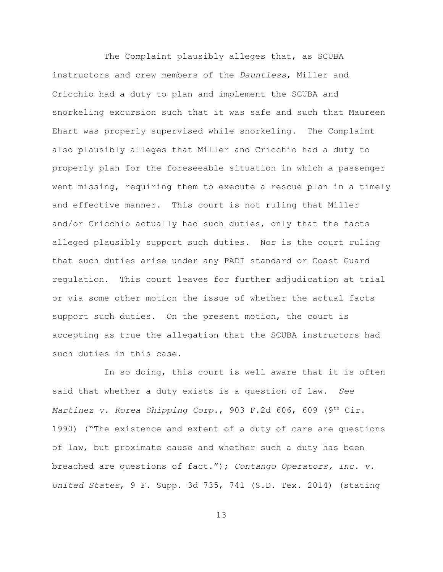The Complaint plausibly alleges that, as SCUBA instructors and crew members of the *Dauntless*, Miller and Cricchio had a duty to plan and implement the SCUBA and snorkeling excursion such that it was safe and such that Maureen Ehart was properly supervised while snorkeling. The Complaint also plausibly alleges that Miller and Cricchio had a duty to properly plan for the foreseeable situation in which a passenger went missing, requiring them to execute a rescue plan in a timely and effective manner. This court is not ruling that Miller and/or Cricchio actually had such duties, only that the facts alleged plausibly support such duties. Nor is the court ruling that such duties arise under any PADI standard or Coast Guard regulation. This court leaves for further adjudication at trial or via some other motion the issue of whether the actual facts support such duties. On the present motion, the court is accepting as true the allegation that the SCUBA instructors had such duties in this case.

In so doing, this court is well aware that it is often said that whether a duty exists is a question of law. *See Martinez v. Korea Shipping Corp.*, 903 F.2d 606, 609 (9<sup>th</sup> Cir. 1990) ("The existence and extent of a duty of care are questions of law, but proximate cause and whether such a duty has been breached are questions of fact."); *Contango Operators, Inc. v. United States*, 9 F. Supp. 3d 735, 741 (S.D. Tex. 2014) (stating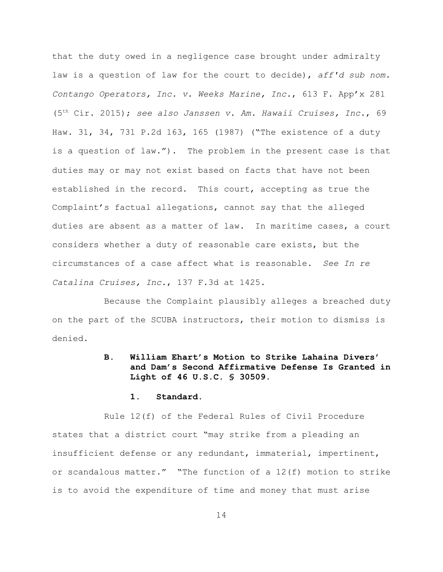that the duty owed in a negligence case brought under admiralty law is a question of law for the court to decide), *aff'd sub nom. Contango Operators, Inc. v. Weeks Marine, Inc.*, 613 F. App'x 281 (5<sup>th</sup> Cir. 2015); see also Janssen v. Am. Hawaii Cruises, Inc., 69 Haw. 31, 34, 731 P.2d 163, 165 (1987) ("The existence of a duty is a question of law."). The problem in the present case is that duties may or may not exist based on facts that have not been established in the record. This court, accepting as true the Complaint's factual allegations, cannot say that the alleged duties are absent as a matter of law. In maritime cases, a court considers whether a duty of reasonable care exists, but the circumstances of a case affect what is reasonable. *See In re Catalina Cruises, Inc.*, 137 F.3d at 1425.

Because the Complaint plausibly alleges a breached duty on the part of the SCUBA instructors, their motion to dismiss is denied.

# **B. William Ehart's Motion to Strike Lahaina Divers' and Dam's Second Affirmative Defense Is Granted in Light of 46 U.S.C. § 30509.**

#### **1. Standard.**

Rule 12(f) of the Federal Rules of Civil Procedure states that a district court "may strike from a pleading an insufficient defense or any redundant, immaterial, impertinent, or scandalous matter." "The function of a 12(f) motion to strike is to avoid the expenditure of time and money that must arise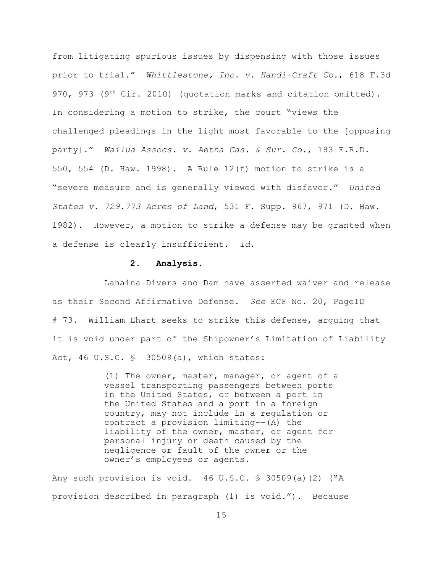from litigating spurious issues by dispensing with those issues prior to trial." *Whittlestone, Inc. v. Handi-Craft Co.*, 618 F.3d 970, 973 (9<sup>th</sup> Cir. 2010) (quotation marks and citation omitted). In considering a motion to strike, the court "views the challenged pleadings in the light most favorable to the [opposing party]." *Wailua Assocs. v. Aetna Cas. & Sur. Co.*, 183 F.R.D. 550, 554 (D. Haw. 1998). A Rule 12(f) motion to strike is a "severe measure and is generally viewed with disfavor." *United States v. 729.773 Acres of Land*, 531 F. Supp. 967, 971 (D. Haw. 1982). However, a motion to strike a defense may be granted when a defense is clearly insufficient. *Id.*

#### **2. Analysis.**

Lahaina Divers and Dam have asserted waiver and release as their Second Affirmative Defense. *See* ECF No. 20, PageID # 73. William Ehart seeks to strike this defense, arguing that it is void under part of the Shipowner's Limitation of Liability Act, 46 U.S.C. § 30509(a), which states:

> (1) The owner, master, manager, or agent of a vessel transporting passengers between ports in the United States, or between a port in the United States and a port in a foreign country, may not include in a regulation or contract a provision limiting--(A) the liability of the owner, master, or agent for personal injury or death caused by the negligence or fault of the owner or the owner's employees or agents.

Any such provision is void.  $46 \text{ U.S.C. }$  \$ 30509(a)(2) ("A provision described in paragraph (1) is void."). Because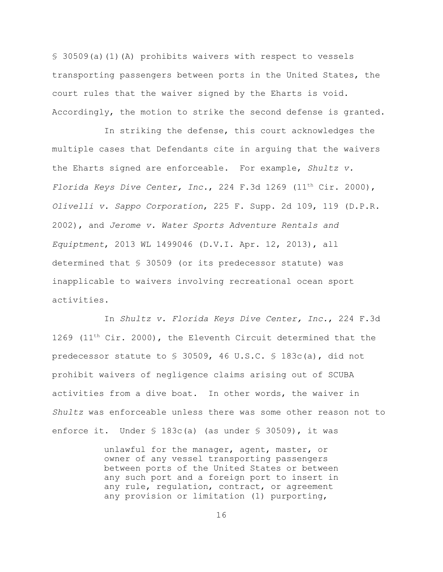$$30509(a)(1)(A)$  prohibits waivers with respect to vessels transporting passengers between ports in the United States, the court rules that the waiver signed by the Eharts is void. Accordingly, the motion to strike the second defense is granted.

In striking the defense, this court acknowledges the multiple cases that Defendants cite in arguing that the waivers the Eharts signed are enforceable. For example, *Shultz v. Florida Keys Dive Center, Inc.*, 224 F.3d 1269 (11<sup>th</sup> Cir. 2000), *Olivelli v. Sappo Corporation*, 225 F. Supp. 2d 109, 119 (D.P.R. 2002), and *Jerome v. Water Sports Adventure Rentals and Equiptment*, 2013 WL 1499046 (D.V.I. Apr. 12, 2013), all determined that § 30509 (or its predecessor statute) was inapplicable to waivers involving recreational ocean sport activities.

In *Shultz v. Florida Keys Dive Center, Inc.*, 224 F.3d 1269 (11<sup>th</sup> Cir. 2000), the Eleventh Circuit determined that the predecessor statute to § 30509, 46 U.S.C. § 183c(a), did not prohibit waivers of negligence claims arising out of SCUBA activities from a dive boat. In other words, the waiver in *Shultz* was enforceable unless there was some other reason not to enforce it. Under § 183c(a) (as under § 30509), it was

> unlawful for the manager, agent, master, or owner of any vessel transporting passengers between ports of the United States or between any such port and a foreign port to insert in any rule, regulation, contract, or agreement any provision or limitation (1) purporting,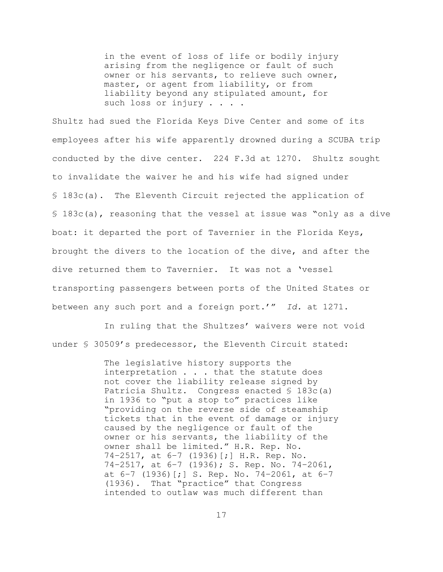in the event of loss of life or bodily injury arising from the negligence or fault of such owner or his servants, to relieve such owner, master, or agent from liability, or from liability beyond any stipulated amount, for such loss or injury . . . .

Shultz had sued the Florida Keys Dive Center and some of its employees after his wife apparently drowned during a SCUBA trip conducted by the dive center. 224 F.3d at 1270. Shultz sought to invalidate the waiver he and his wife had signed under § 183c(a). The Eleventh Circuit rejected the application of § 183c(a), reasoning that the vessel at issue was "only as a dive boat: it departed the port of Tavernier in the Florida Keys, brought the divers to the location of the dive, and after the dive returned them to Tavernier. It was not a 'vessel transporting passengers between ports of the United States or between any such port and a foreign port.'" *Id.* at 1271.

In ruling that the Shultzes' waivers were not void under § 30509's predecessor, the Eleventh Circuit stated:

> The legislative history supports the interpretation . . . that the statute does not cover the liability release signed by Patricia Shultz. Congress enacted § 183c(a) in 1936 to "put a stop to" practices like "providing on the reverse side of steamship tickets that in the event of damage or injury caused by the negligence or fault of the owner or his servants, the liability of the owner shall be limited." H.R. Rep. No. 74–2517, at 6–7 (1936)[;] H.R. Rep. No. 74–2517, at 6–7 (1936); S. Rep. No. 74–2061, at  $6-7$  (1936) [;] S. Rep. No. 74-2061, at  $6-7$ (1936). That "practice" that Congress intended to outlaw was much different than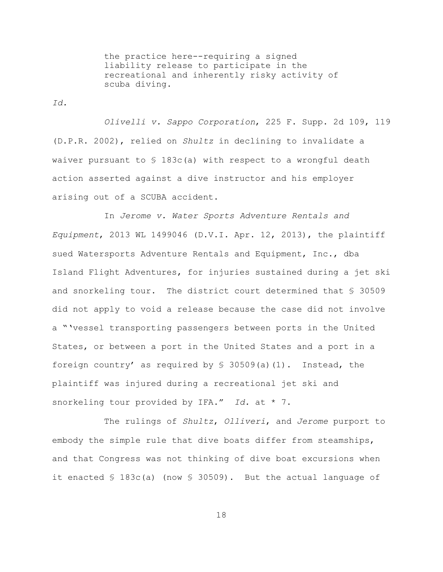the practice here--requiring a signed liability release to participate in the recreational and inherently risky activity of scuba diving.

*Id.*

*Olivelli v. Sappo Corporation*, 225 F. Supp. 2d 109, 119 (D.P.R. 2002), relied on *Shultz* in declining to invalidate a waiver pursuant to  $S$  183c(a) with respect to a wrongful death action asserted against a dive instructor and his employer arising out of a SCUBA accident.

In *Jerome v. Water Sports Adventure Rentals and Equipment*, 2013 WL 1499046 (D.V.I. Apr. 12, 2013), the plaintiff sued Watersports Adventure Rentals and Equipment, Inc., dba Island Flight Adventures, for injuries sustained during a jet ski and snorkeling tour. The district court determined that § 30509 did not apply to void a release because the case did not involve a "'vessel transporting passengers between ports in the United States, or between a port in the United States and a port in a foreign country' as required by  $\frac{1}{5}$  30509(a)(1). Instead, the plaintiff was injured during a recreational jet ski and snorkeling tour provided by IFA." *Id.* at \* 7.

The rulings of *Shultz*, *Olliveri*, and *Jerome* purport to embody the simple rule that dive boats differ from steamships, and that Congress was not thinking of dive boat excursions when it enacted § 183c(a) (now § 30509). But the actual language of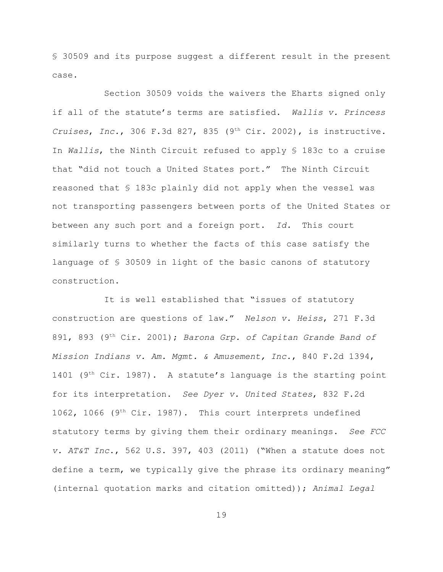§ 30509 and its purpose suggest a different result in the present case.

Section 30509 voids the waivers the Eharts signed only if all of the statute's terms are satisfied. *Wallis v. Princess Cruises*, *Inc.*, 306 F.3d 827, 835 (9<sup>th</sup> Cir. 2002), is instructive. In *Wallis*, the Ninth Circuit refused to apply § 183c to a cruise that "did not touch a United States port." The Ninth Circuit reasoned that § 183c plainly did not apply when the vessel was not transporting passengers between ports of the United States or between any such port and a foreign port. *Id.* This court similarly turns to whether the facts of this case satisfy the language of § 30509 in light of the basic canons of statutory construction.

It is well established that "issues of statutory construction are questions of law." *Nelson v. Heiss*, 271 F.3d 891, 893 (9<sup>th</sup> Cir. 2001); *Barona Grp. of Capitan Grande Band of Mission Indians v. Am. Mgmt. & Amusement, Inc*., 840 F.2d 1394, 1401 (9<sup>th</sup> Cir. 1987). A statute's language is the starting point for its interpretation. *See Dyer v. United States*, 832 F.2d 1062, 1066 (9<sup>th</sup> Cir. 1987). This court interprets undefined statutory terms by giving them their ordinary meanings. *See FCC v. AT&T Inc*., 562 U.S. 397, 403 (2011) ("When a statute does not define a term, we typically give the phrase its ordinary meaning" (internal quotation marks and citation omitted)); *Animal Legal*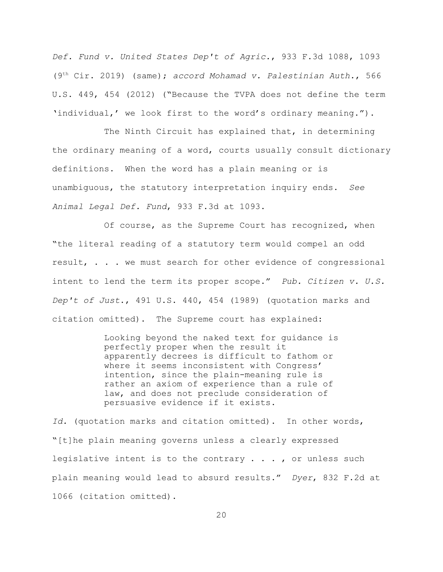*Def. Fund v. United States Dep't of Agric.*, 933 F.3d 1088, 1093 (9<sup>th</sup> Cir. 2019) (same); *accord Mohamad v. Palestinian Auth.*, 566 U.S. 449, 454 (2012) ("Because the TVPA does not define the term 'individual,' we look first to the word's ordinary meaning.").

The Ninth Circuit has explained that, in determining the ordinary meaning of a word, courts usually consult dictionary definitions. When the word has a plain meaning or is unambiguous, the statutory interpretation inquiry ends. *See Animal Legal Def. Fund*, 933 F.3d at 1093.

Of course, as the Supreme Court has recognized, when "the literal reading of a statutory term would compel an odd result, . . . we must search for other evidence of congressional intent to lend the term its proper scope." *Pub. Citizen v. U.S. Dep't of Just*., 491 U.S. 440, 454 (1989) (quotation marks and citation omitted). The Supreme court has explained:

> Looking beyond the naked text for guidance is perfectly proper when the result it apparently decrees is difficult to fathom or where it seems inconsistent with Congress' intention, since the plain-meaning rule is rather an axiom of experience than a rule of law, and does not preclude consideration of persuasive evidence if it exists.

*Id.* (quotation marks and citation omitted). In other words, "[t]he plain meaning governs unless a clearly expressed legislative intent is to the contrary  $\ldots$ , or unless such plain meaning would lead to absurd results." *Dyer*, 832 F.2d at 1066 (citation omitted).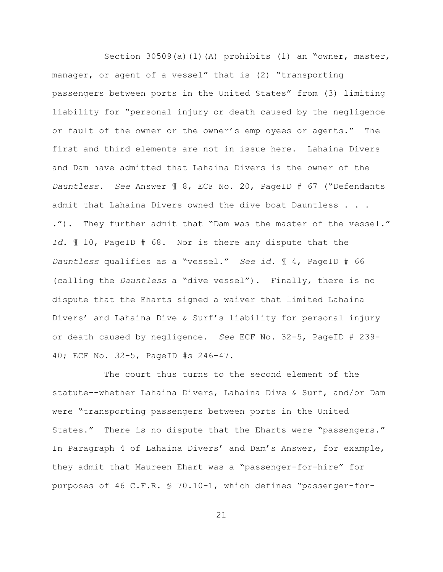Section 30509(a)(1)(A) prohibits (1) an "owner, master, manager, or agent of a vessel" that is (2) "transporting passengers between ports in the United States" from (3) limiting liability for "personal injury or death caused by the negligence or fault of the owner or the owner's employees or agents." The first and third elements are not in issue here. Lahaina Divers and Dam have admitted that Lahaina Divers is the owner of the *Dauntless*. *See* Answer ¶ 8, ECF No. 20, PageID # 67 ("Defendants admit that Lahaina Divers owned the dive boat Dauntless . . . ."). They further admit that "Dam was the master of the vessel." *Id.* ¶ 10, PageID # 68. Nor is there any dispute that the *Dauntless* qualifies as a "vessel." *See id.* ¶ 4, PageID # 66 (calling the *Dauntless* a "dive vessel"). Finally, there is no dispute that the Eharts signed a waiver that limited Lahaina Divers' and Lahaina Dive & Surf's liability for personal injury or death caused by negligence. *See* ECF No. 32-5, PageID # 239- 40; ECF No. 32-5, PageID #s 246-47.

The court thus turns to the second element of the statute--whether Lahaina Divers, Lahaina Dive & Surf, and/or Dam were "transporting passengers between ports in the United States." There is no dispute that the Eharts were "passengers." In Paragraph 4 of Lahaina Divers' and Dam's Answer, for example, they admit that Maureen Ehart was a "passenger-for-hire" for purposes of 46 C.F.R. § 70.10-1, which defines "passenger-for-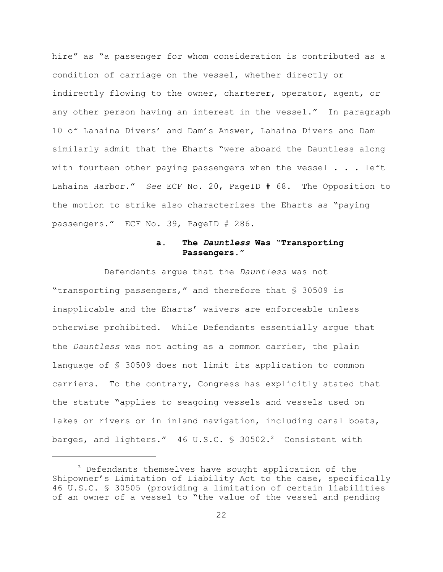hire" as "a passenger for whom consideration is contributed as a condition of carriage on the vessel, whether directly or indirectly flowing to the owner, charterer, operator, agent, or any other person having an interest in the vessel." In paragraph 10 of Lahaina Divers' and Dam's Answer, Lahaina Divers and Dam similarly admit that the Eharts "were aboard the Dauntless along with fourteen other paying passengers when the vessel  $\ldots$  left Lahaina Harbor." *See* ECF No. 20, PageID # 68. The Opposition to the motion to strike also characterizes the Eharts as "paying passengers." ECF No. 39, PageID # 286.

### **a. The** *Dauntless* **Was "Transporting Passengers."**

Defendants argue that the *Dauntless* was not "transporting passengers," and therefore that § 30509 is inapplicable and the Eharts' waivers are enforceable unless otherwise prohibited. While Defendants essentially argue that the *Dauntless* was not acting as a common carrier, the plain language of § 30509 does not limit its application to common carriers. To the contrary, Congress has explicitly stated that the statute "applies to seagoing vessels and vessels used on lakes or rivers or in inland navigation, including canal boats, barges, and lighters." 46 U.S.C.  $\frac{1}{2}$  30502.<sup>2</sup> Consistent with

 $2$  Defendants themselves have sought application of the Shipowner's Limitation of Liability Act to the case, specifically 46 U.S.C. § 30505 (providing a limitation of certain liabilities of an owner of a vessel to "the value of the vessel and pending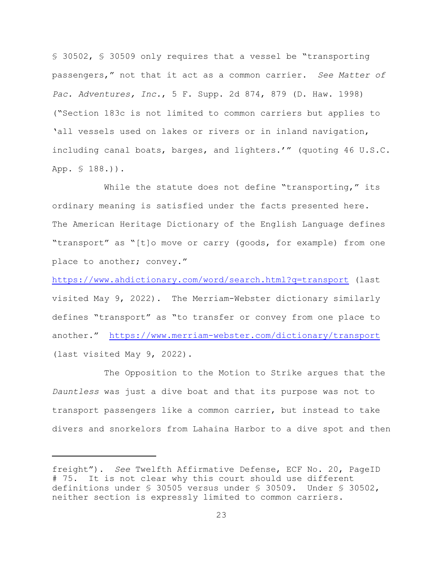§ 30502, § 30509 only requires that a vessel be "transporting passengers," not that it act as a common carrier. *See Matter of Pac. Adventures, Inc.*, 5 F. Supp. 2d 874, 879 (D. Haw. 1998) ("Section 183c is not limited to common carriers but applies to 'all vessels used on lakes or rivers or in inland navigation, including canal boats, barges, and lighters.'" (quoting 46 U.S.C. App. § 188.)).

While the statute does not define "transporting," its ordinary meaning is satisfied under the facts presented here. The American Heritage Dictionary of the English Language defines "transport" as "[t]o move or carry (goods, for example) from one place to another; convey."

<https://www.ahdictionary.com/word/search.html?q=transport> (last visited May 9, 2022). The Merriam-Webster dictionary similarly defines "transport" as "to transfer or convey from one place to another." <https://www.merriam-webster.com/dictionary/transport> (last visited May 9, 2022).

The Opposition to the Motion to Strike argues that the *Dauntless* was just a dive boat and that its purpose was not to transport passengers like a common carrier, but instead to take divers and snorkelors from Lahaina Harbor to a dive spot and then

freight"). *See* Twelfth Affirmative Defense, ECF No. 20, PageID # 75. It is not clear why this court should use different definitions under § 30505 versus under § 30509. Under § 30502, neither section is expressly limited to common carriers.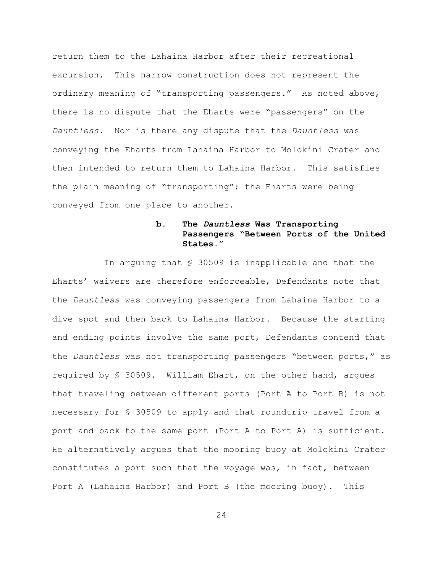return them to the Lahaina Harbor after their recreational excursion. This narrow construction does not represent the ordinary meaning of "transporting passengers." As noted above, there is no dispute that the Eharts were "passengers" on the *Dauntless*. Nor is there any dispute that the *Dauntless* was conveying the Eharts from Lahaina Harbor to Molokini Crater and then intended to return them to Lahaina Harbor. This satisfies the plain meaning of "transporting"; the Eharts were being conveyed from one place to another.

# **b. The** *Dauntless* **Was Transporting Passengers "Between Ports of the United States."**

In arguing that § 30509 is inapplicable and that the Eharts' waivers are therefore enforceable, Defendants note that the *Dauntless* was conveying passengers from Lahaina Harbor to a dive spot and then back to Lahaina Harbor. Because the starting and ending points involve the same port, Defendants contend that the *Dauntless* was not transporting passengers "between ports," as required by § 30509. William Ehart, on the other hand, argues that traveling between different ports (Port A to Port B) is not necessary for § 30509 to apply and that roundtrip travel from a port and back to the same port (Port A to Port A) is sufficient. He alternatively argues that the mooring buoy at Molokini Crater constitutes a port such that the voyage was, in fact, between Port A (Lahaina Harbor) and Port B (the mooring buoy). This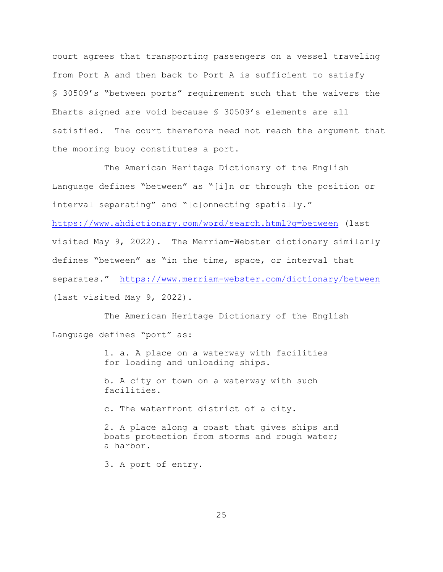court agrees that transporting passengers on a vessel traveling from Port A and then back to Port A is sufficient to satisfy § 30509's "between ports" requirement such that the waivers the Eharts signed are void because § 30509's elements are all satisfied. The court therefore need not reach the argument that the mooring buoy constitutes a port.

The American Heritage Dictionary of the English Language defines "between" as "[i]n or through the position or interval separating" and "[c]onnecting spatially."

<https://www.ahdictionary.com/word/search.html?q=between> (last visited May 9, 2022). The Merriam-Webster dictionary similarly defines "between" as "in the time, space, or interval that separates." <https://www.merriam-webster.com/dictionary/between> (last visited May 9, 2022).

The American Heritage Dictionary of the English Language defines "port" as:

> 1. a. A place on a waterway with facilities for loading and unloading ships.

b. A city or town on a waterway with such facilities.

c. The waterfront district of a city.

2. A place along a coast that gives ships and boats protection from storms and rough water; a harbor.

3. A port of entry.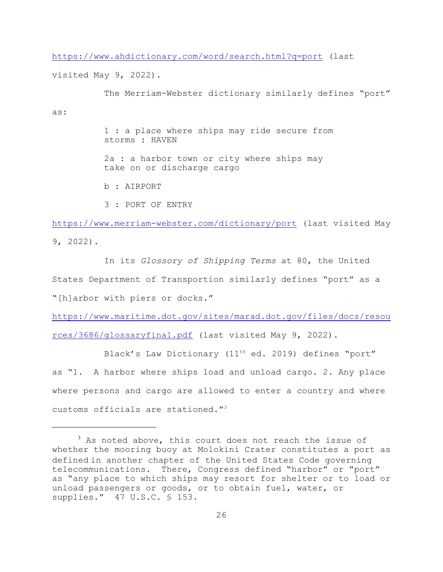<https://www.ahdictionary.com/word/search.html?q=port> (last

visited May 9, 2022).

as:

The Merriam-Webster dictionary similarly defines "port" 1 : a place where ships may ride secure from storms : HAVEN

2a : a harbor town or city where ships may take on or discharge cargo

b : AIRPORT

3 : PORT OF ENTRY

<https://www.merriam-webster.com/dictionary/port> (last visited May 9, 2022).

In its *Glossory of Shipping Terms* at 80, the United States Department of Transportion similarly defines "port" as a "[h]arbor with piers or docks."

[https://www.maritime.dot.gov/sites/marad.dot.gov/files/docs/resou](https://www.maritime.dot.gov/sites/marad.dot.gov/files/docs/resources/3686/glossaryfinal.pdf) [rces/3686/glossaryfinal.pdf](https://www.maritime.dot.gov/sites/marad.dot.gov/files/docs/resources/3686/glossaryfinal.pdf) (last visited May 9, 2022).

Black's Law Dictionary (11<sup>th</sup> ed. 2019) defines "port" as "1. A harbor where ships load and unload cargo. 2. Any place where persons and cargo are allowed to enter a country and where customs officials are stationed."<sup>3</sup>

 $3$  As noted above, this court does not reach the issue of whether the mooring buoy at Molokini Crater constitutes a port as defined in another chapter of the United States Code governing telecommunications. There, Congress defined "harbor" or "port" as "any place to which ships may resort for shelter or to load or unload passengers or goods, or to obtain fuel, water, or supplies." 47 U.S.C. § 153.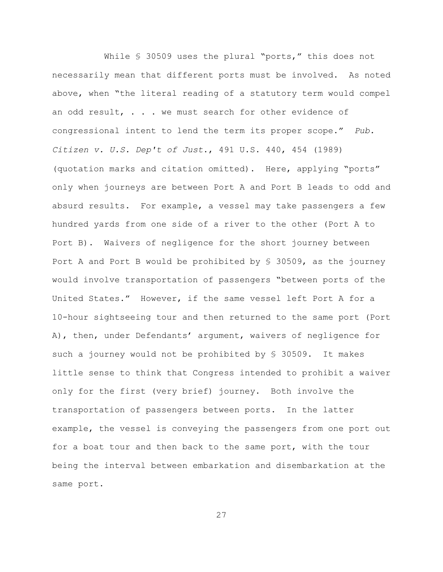While § 30509 uses the plural "ports," this does not necessarily mean that different ports must be involved. As noted above, when "the literal reading of a statutory term would compel an odd result, . . . we must search for other evidence of congressional intent to lend the term its proper scope." *Pub. Citizen v. U.S. Dep't of Just*., 491 U.S. 440, 454 (1989) (quotation marks and citation omitted). Here, applying "ports" only when journeys are between Port A and Port B leads to odd and absurd results. For example, a vessel may take passengers a few hundred yards from one side of a river to the other (Port A to Port B). Waivers of negligence for the short journey between Port A and Port B would be prohibited by  $\frac{1}{5}$  30509, as the journey would involve transportation of passengers "between ports of the United States." However, if the same vessel left Port A for a 10-hour sightseeing tour and then returned to the same port (Port A), then, under Defendants' argument, waivers of negligence for such a journey would not be prohibited by § 30509. It makes little sense to think that Congress intended to prohibit a waiver only for the first (very brief) journey. Both involve the transportation of passengers between ports. In the latter example, the vessel is conveying the passengers from one port out for a boat tour and then back to the same port, with the tour being the interval between embarkation and disembarkation at the same port.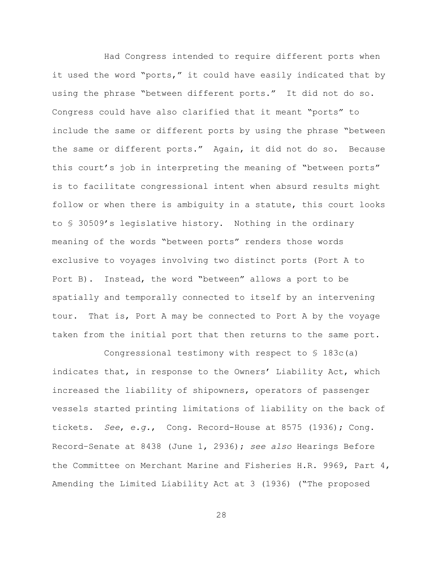Had Congress intended to require different ports when it used the word "ports," it could have easily indicated that by using the phrase "between different ports." It did not do so. Congress could have also clarified that it meant "ports" to include the same or different ports by using the phrase "between the same or different ports." Again, it did not do so. Because this court's job in interpreting the meaning of "between ports" is to facilitate congressional intent when absurd results might follow or when there is ambiguity in a statute, this court looks to § 30509's legislative history. Nothing in the ordinary meaning of the words "between ports" renders those words exclusive to voyages involving two distinct ports (Port A to Port B). Instead, the word "between" allows a port to be spatially and temporally connected to itself by an intervening tour. That is, Port A may be connected to Port A by the voyage taken from the initial port that then returns to the same port.

Congressional testimony with respect to § 183c(a) indicates that, in response to the Owners' Liability Act, which increased the liability of shipowners, operators of passenger vessels started printing limitations of liability on the back of tickets. *See*, *e.g.*, Cong. Record-House at 8575 (1936); Cong. Record–Senate at 8438 (June 1, 2936); *see also* Hearings Before the Committee on Merchant Marine and Fisheries H.R. 9969, Part 4, Amending the Limited Liability Act at 3 (1936) ("The proposed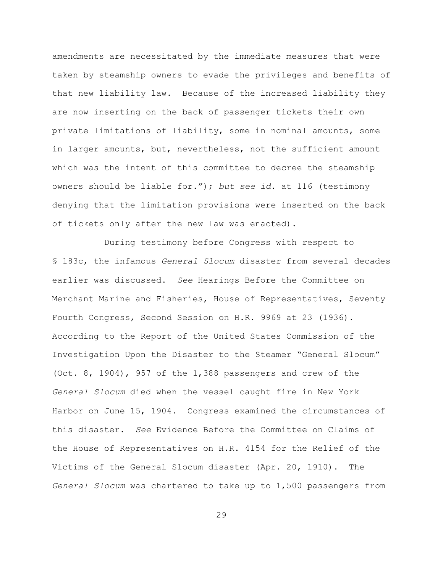amendments are necessitated by the immediate measures that were taken by steamship owners to evade the privileges and benefits of that new liability law. Because of the increased liability they are now inserting on the back of passenger tickets their own private limitations of liability, some in nominal amounts, some in larger amounts, but, nevertheless, not the sufficient amount which was the intent of this committee to decree the steamship owners should be liable for."); *but see id.* at 116 (testimony denying that the limitation provisions were inserted on the back of tickets only after the new law was enacted).

During testimony before Congress with respect to § 183c, the infamous *General Slocum* disaster from several decades earlier was discussed. *See* Hearings Before the Committee on Merchant Marine and Fisheries, House of Representatives, Seventy Fourth Congress, Second Session on H.R. 9969 at 23 (1936). According to the Report of the United States Commission of the Investigation Upon the Disaster to the Steamer "General Slocum" (Oct. 8, 1904), 957 of the 1,388 passengers and crew of the *General Slocum* died when the vessel caught fire in New York Harbor on June 15, 1904. Congress examined the circumstances of this disaster. *See* Evidence Before the Committee on Claims of the House of Representatives on H.R. 4154 for the Relief of the Victims of the General Slocum disaster (Apr. 20, 1910). The *General Slocum* was chartered to take up to 1,500 passengers from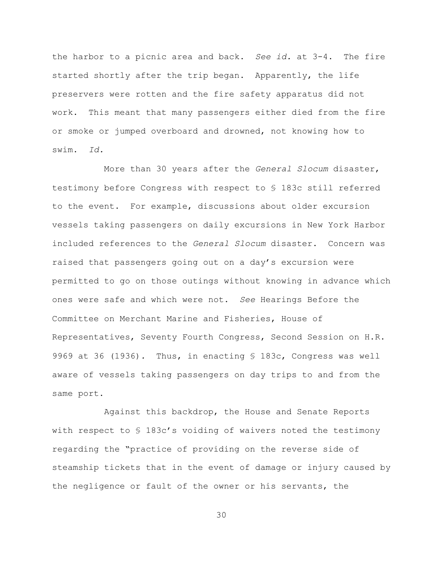the harbor to a picnic area and back. *See id.* at 3-4. The fire started shortly after the trip began. Apparently, the life preservers were rotten and the fire safety apparatus did not work. This meant that many passengers either died from the fire or smoke or jumped overboard and drowned, not knowing how to swim. *Id.*

More than 30 years after the *General Slocum* disaster, testimony before Congress with respect to § 183c still referred to the event. For example, discussions about older excursion vessels taking passengers on daily excursions in New York Harbor included references to the *General Slocum* disaster. Concern was raised that passengers going out on a day's excursion were permitted to go on those outings without knowing in advance which ones were safe and which were not. *See* Hearings Before the Committee on Merchant Marine and Fisheries, House of Representatives, Seventy Fourth Congress, Second Session on H.R. 9969 at 36 (1936)*.* Thus, in enacting § 183c, Congress was well aware of vessels taking passengers on day trips to and from the same port.

Against this backdrop, the House and Senate Reports with respect to § 183c's voiding of waivers noted the testimony regarding the "practice of providing on the reverse side of steamship tickets that in the event of damage or injury caused by the negligence or fault of the owner or his servants, the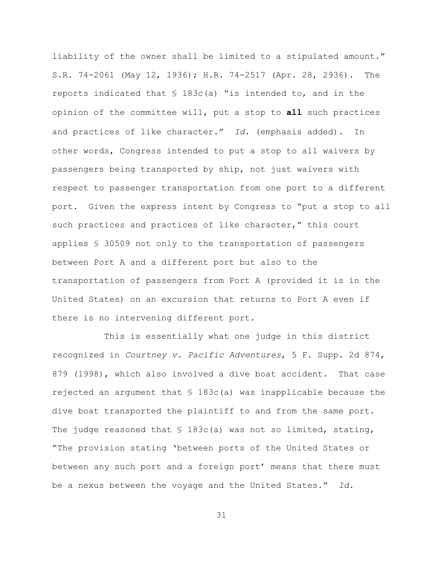liability of the owner shall be limited to a stipulated amount." S.R. 74-2061 (May 12, 1936); H.R. 74-2517 (Apr. 28, 2936). The reports indicated that  $\frac{1}{2}$  183c(a) "is intended to, and in the opinion of the committee will, put a stop to **all** such practices and practices of like character." *Id.* (emphasis added). In other words, Congress intended to put a stop to all waivers by passengers being transported by ship, not just waivers with respect to passenger transportation from one port to a different port. Given the express intent by Congress to "put a stop to all such practices and practices of like character," this court applies § 30509 not only to the transportation of passengers between Port A and a different port but also to the transportation of passengers from Port A (provided it is in the United States) on an excursion that returns to Port A even if there is no intervening different port.

This is essentially what one judge in this district recognized in *Courtney v. Pacific Adventures*, 5 F. Supp. 2d 874, 879 (1998), which also involved a dive boat accident. That case rejected an argument that  $\frac{1}{3}$  183c(a) was inapplicable because the dive boat transported the plaintiff to and from the same port. The judge reasoned that  $\S$  183c(a) was not so limited, stating, "The provision stating 'between ports of the United States or between any such port and a foreign port' means that there must be a nexus between the voyage and the United States." *Id.*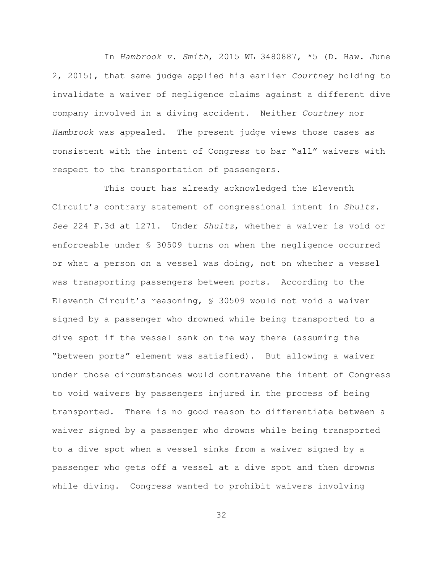In *Hambrook v. Smith*, 2015 WL 3480887, \*5 (D. Haw. June 2, 2015), that same judge applied his earlier *Courtney* holding to invalidate a waiver of negligence claims against a different dive company involved in a diving accident. Neither *Courtney* nor *Hambrook* was appealed. The present judge views those cases as consistent with the intent of Congress to bar "all" waivers with respect to the transportation of passengers.

This court has already acknowledged the Eleventh Circuit's contrary statement of congressional intent in *Shultz*. *See* 224 F.3d at 1271. Under *Shultz*, whether a waiver is void or enforceable under § 30509 turns on when the negligence occurred or what a person on a vessel was doing, not on whether a vessel was transporting passengers between ports. According to the Eleventh Circuit's reasoning, § 30509 would not void a waiver signed by a passenger who drowned while being transported to a dive spot if the vessel sank on the way there (assuming the "between ports" element was satisfied). But allowing a waiver under those circumstances would contravene the intent of Congress to void waivers by passengers injured in the process of being transported. There is no good reason to differentiate between a waiver signed by a passenger who drowns while being transported to a dive spot when a vessel sinks from a waiver signed by a passenger who gets off a vessel at a dive spot and then drowns while diving. Congress wanted to prohibit waivers involving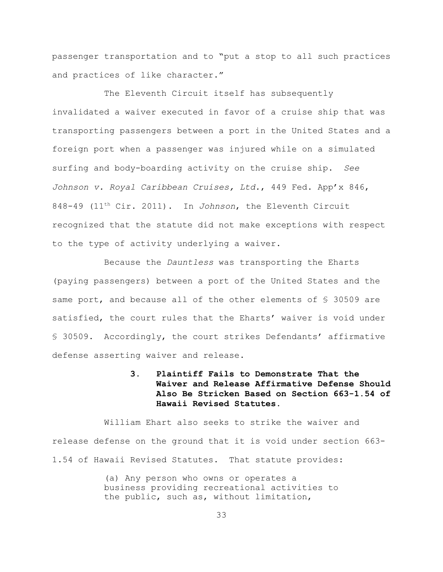passenger transportation and to "put a stop to all such practices and practices of like character."

The Eleventh Circuit itself has subsequently invalidated a waiver executed in favor of a cruise ship that was transporting passengers between a port in the United States and a foreign port when a passenger was injured while on a simulated surfing and body-boarding activity on the cruise ship. *See Johnson v. Royal Caribbean Cruises, Ltd.*, 449 Fed. App'x 846, 848-49 (11<sup>th</sup> Cir. 2011). In *Johnson*, the Eleventh Circuit recognized that the statute did not make exceptions with respect to the type of activity underlying a waiver.

Because the *Dauntless* was transporting the Eharts (paying passengers) between a port of the United States and the same port, and because all of the other elements of § 30509 are satisfied, the court rules that the Eharts' waiver is void under § 30509. Accordingly, the court strikes Defendants' affirmative defense asserting waiver and release.

> **3. Plaintiff Fails to Demonstrate That the Waiver and Release Affirmative Defense Should Also Be Stricken Based on Section 663-1.54 of Hawaii Revised Statutes.**

William Ehart also seeks to strike the waiver and release defense on the ground that it is void under section 663- 1.54 of Hawaii Revised Statutes. That statute provides:

> (a) Any person who owns or operates a business providing recreational activities to the public, such as, without limitation,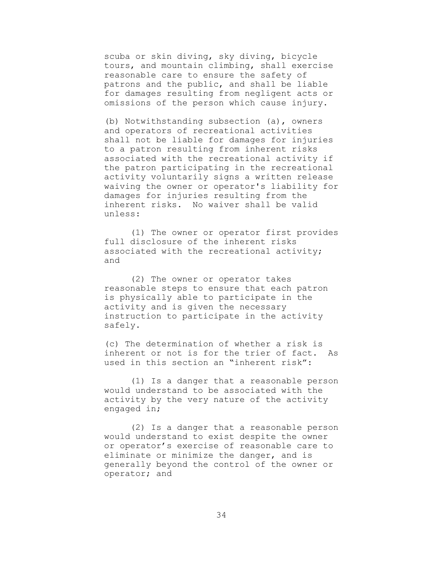scuba or skin diving, sky diving, bicycle tours, and mountain climbing, shall exercise reasonable care to ensure the safety of patrons and the public, and shall be liable for damages resulting from negligent acts or omissions of the person which cause injury.

(b) Notwithstanding subsection (a), owners and operators of recreational activities shall not be liable for damages for injuries to a patron resulting from inherent risks associated with the recreational activity if the patron participating in the recreational activity voluntarily signs a written release waiving the owner or operator's liability for damages for injuries resulting from the inherent risks. No waiver shall be valid unless:

(1) The owner or operator first provides full disclosure of the inherent risks associated with the recreational activity; and

(2) The owner or operator takes reasonable steps to ensure that each patron is physically able to participate in the activity and is given the necessary instruction to participate in the activity safely.

(c) The determination of whether a risk is inherent or not is for the trier of fact. As used in this section an "inherent risk":

(1) Is a danger that a reasonable person would understand to be associated with the activity by the very nature of the activity engaged in;

(2) Is a danger that a reasonable person would understand to exist despite the owner or operator's exercise of reasonable care to eliminate or minimize the danger, and is generally beyond the control of the owner or operator; and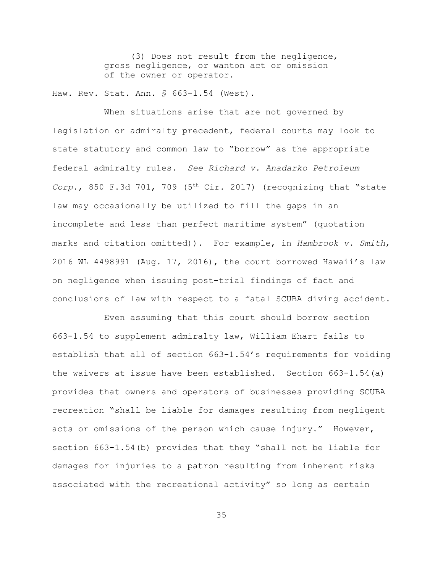(3) Does not result from the negligence, gross negligence, or wanton act or omission of the owner or operator.

Haw. Rev. Stat. Ann. § 663-1.54 (West).

When situations arise that are not governed by legislation or admiralty precedent, federal courts may look to state statutory and common law to "borrow" as the appropriate federal admiralty rules. *See Richard v. Anadarko Petroleum Corp.*, 850 F.3d 701, 709 ( $5<sup>th</sup> Cir. 2017$ ) (recognizing that "state law may occasionally be utilized to fill the gaps in an incomplete and less than perfect maritime system" (quotation marks and citation omitted)). For example, in *Hambrook v. Smith*, 2016 WL 4498991 (Aug. 17, 2016), the court borrowed Hawaii's law on negligence when issuing post-trial findings of fact and conclusions of law with respect to a fatal SCUBA diving accident.

Even assuming that this court should borrow section 663-1.54 to supplement admiralty law, William Ehart fails to establish that all of section 663-1.54's requirements for voiding the waivers at issue have been established. Section 663-1.54(a) provides that owners and operators of businesses providing SCUBA recreation "shall be liable for damages resulting from negligent acts or omissions of the person which cause injury." However, section 663-1.54(b) provides that they "shall not be liable for damages for injuries to a patron resulting from inherent risks associated with the recreational activity" so long as certain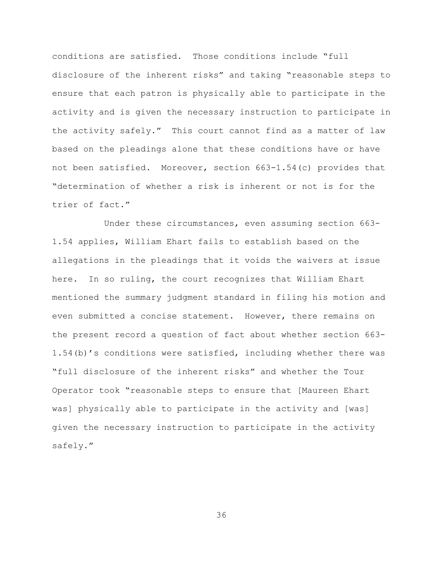conditions are satisfied. Those conditions include "full disclosure of the inherent risks" and taking "reasonable steps to ensure that each patron is physically able to participate in the activity and is given the necessary instruction to participate in the activity safely." This court cannot find as a matter of law based on the pleadings alone that these conditions have or have not been satisfied. Moreover, section 663-1.54(c) provides that "determination of whether a risk is inherent or not is for the trier of fact."

Under these circumstances, even assuming section 663- 1.54 applies, William Ehart fails to establish based on the allegations in the pleadings that it voids the waivers at issue here. In so ruling, the court recognizes that William Ehart mentioned the summary judgment standard in filing his motion and even submitted a concise statement. However, there remains on the present record a question of fact about whether section 663- 1.54(b)'s conditions were satisfied, including whether there was "full disclosure of the inherent risks" and whether the Tour Operator took "reasonable steps to ensure that [Maureen Ehart was] physically able to participate in the activity and [was] given the necessary instruction to participate in the activity safely."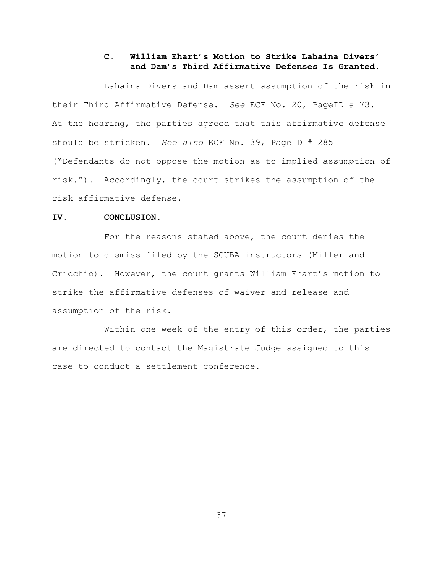# **C. William Ehart's Motion to Strike Lahaina Divers' and Dam's Third Affirmative Defenses Is Granted.**

Lahaina Divers and Dam assert assumption of the risk in their Third Affirmative Defense. *See* ECF No. 20, PageID # 73. At the hearing, the parties agreed that this affirmative defense should be stricken. *See also* ECF No. 39, PageID # 285 ("Defendants do not oppose the motion as to implied assumption of risk."). Accordingly, the court strikes the assumption of the risk affirmative defense.

# **IV. CONCLUSION.**

For the reasons stated above, the court denies the motion to dismiss filed by the SCUBA instructors (Miller and Cricchio). However, the court grants William Ehart's motion to strike the affirmative defenses of waiver and release and assumption of the risk.

Within one week of the entry of this order, the parties are directed to contact the Magistrate Judge assigned to this case to conduct a settlement conference.